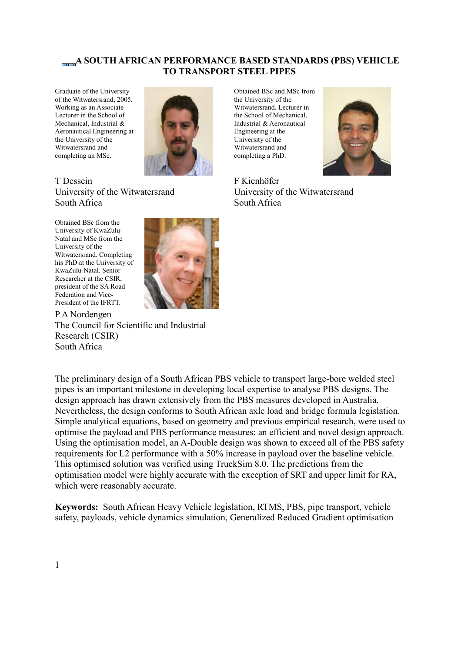# **A SOUTH AFRICAN PERFORMANCE BASED STANDARDS (PBS) VEHICLE TO TRANSPORT STEEL PIPES**

Graduate of the University of the Witwatersrand, 2005. Working as an Associate Lecturer in the School of Mechanical, Industrial & Aeronautical Engineering at the University of the Witwatersrand and completing an MSc.



T Dessein University of the Witwatersrand South Africa

Obtained BSc from the University of KwaZulu-Natal and MSc from the University of the Witwatersrand. Completing his PhD at the University of KwaZulu-Natal. Senior Researcher at the CSIR, president of the SA Road Federation and Vice-President of the IFRTT.



P A Nordengen The Council for Scientific and Industrial Research (CSIR) South Africa

The preliminary design of a South African PBS vehicle to transport large-bore welded steel pipes is an important milestone in developing local expertise to analyse PBS designs. The design approach has drawn extensively from the PBS measures developed in Australia. Nevertheless, the design conforms to South African axle load and bridge formula legislation. Simple analytical equations, based on geometry and previous empirical research, were used to optimise the payload and PBS performance measures: an efficient and novel design approach. Using the optimisation model, an A-Double design was shown to exceed all of the PBS safety requirements for L2 performance with a 50% increase in payload over the baseline vehicle. This optimised solution was verified using TruckSim 8.0. The predictions from the optimisation model were highly accurate with the exception of SRT and upper limit for RA, which were reasonably accurate.

**Keywords:** South African Heavy Vehicle legislation, RTMS, PBS, pipe transport, vehicle safety, payloads, vehicle dynamics simulation, Generalized Reduced Gradient optimisation

Obtained BSc and MSc from the University of the Witwatersrand. Lecturer in the School of Mechanical, Industrial & Aeronautical Engineering at the University of the Witwatersrand and completing a PhD.



F Kienhöfer University of the Witwatersrand South Africa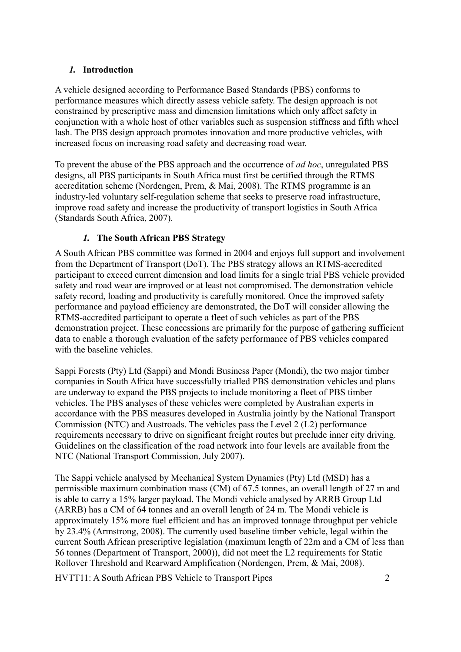### *1.* **Introduction**

A vehicle designed according to Performance Based Standards (PBS) conforms to performance measures which directly assess vehicle safety. The design approach is not constrained by prescriptive mass and dimension limitations which only affect safety in conjunction with a whole host of other variables such as suspension stiffness and fifth wheel lash. The PBS design approach promotes innovation and more productive vehicles, with increased focus on increasing road safety and decreasing road wear.

To prevent the abuse of the PBS approach and the occurrence of *ad hoc*, unregulated PBS designs, all PBS participants in South Africa must first be certified through the RTMS accreditation scheme (Nordengen, Prem, & Mai, 2008). The RTMS programme is an industry-led voluntary self-regulation scheme that seeks to preserve road infrastructure, improve road safety and increase the productivity of transport logistics in South Africa (Standards South Africa, 2007).

# *1.* **The South African PBS Strategy**

A South African PBS committee was formed in 2004 and enjoys full support and involvement from the Department of Transport (DoT). The PBS strategy allows an RTMS-accredited participant to exceed current dimension and load limits for a single trial PBS vehicle provided safety and road wear are improved or at least not compromised. The demonstration vehicle safety record, loading and productivity is carefully monitored. Once the improved safety performance and payload efficiency are demonstrated, the DoT will consider allowing the RTMS-accredited participant to operate a fleet of such vehicles as part of the PBS demonstration project. These concessions are primarily for the purpose of gathering sufficient data to enable a thorough evaluation of the safety performance of PBS vehicles compared with the baseline vehicles.

Sappi Forests (Pty) Ltd (Sappi) and Mondi Business Paper (Mondi), the two major timber companies in South Africa have successfully trialled PBS demonstration vehicles and plans are underway to expand the PBS projects to include monitoring a fleet of PBS timber vehicles. The PBS analyses of these vehicles were completed by Australian experts in accordance with the PBS measures developed in Australia jointly by the National Transport Commission (NTC) and Austroads. The vehicles pass the Level 2 (L2) performance requirements necessary to drive on significant freight routes but preclude inner city driving. Guidelines on the classification of the road network into four levels are available from the NTC (National Transport Commission, July 2007).

The Sappi vehicle analysed by Mechanical System Dynamics (Pty) Ltd (MSD) has a permissible maximum combination mass (CM) of 67.5 tonnes, an overall length of 27 m and is able to carry a 15% larger payload. The Mondi vehicle analysed by ARRB Group Ltd (ARRB) has a CM of 64 tonnes and an overall length of 24 m. The Mondi vehicle is approximately 15% more fuel efficient and has an improved tonnage throughput per vehicle by 23.4% (Armstrong, 2008). The currently used baseline timber vehicle, legal within the current South African prescriptive legislation (maximum length of 22m and a CM of less than 56 tonnes (Department of Transport, 2000)), did not meet the L2 requirements for Static Rollover Threshold and Rearward Amplification (Nordengen, Prem, & Mai, 2008).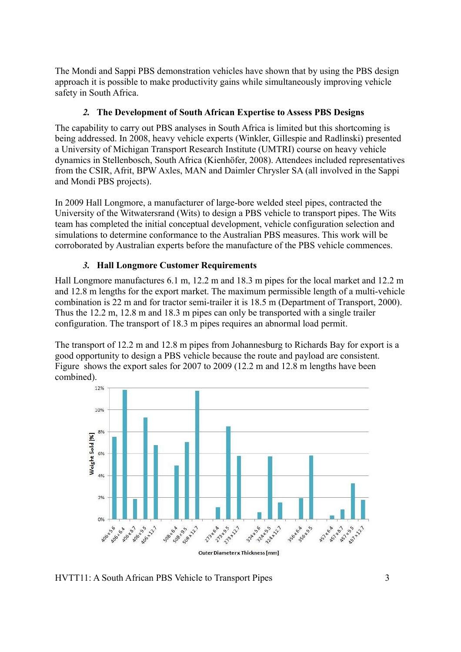The Mondi and Sappi PBS demonstration vehicles have shown that by using the PBS design approach it is possible to make productivity gains while simultaneously improving vehicle safety in South Africa.

# *2.* **The Development of South African Expertise to Assess PBS Designs**

The capability to carry out PBS analyses in South Africa is limited but this shortcoming is being addressed. In 2008, heavy vehicle experts (Winkler, Gillespie and Radlinski) presented a University of Michigan Transport Research Institute (UMTRI) course on heavy vehicle dynamics in Stellenbosch, South Africa (Kienhöfer, 2008). Attendees included representatives from the CSIR, Afrit, BPW Axles, MAN and Daimler Chrysler SA (all involved in the Sappi and Mondi PBS projects).

In 2009 Hall Longmore, a manufacturer of large-bore welded steel pipes, contracted the University of the Witwatersrand (Wits) to design a PBS vehicle to transport pipes. The Wits team has completed the initial conceptual development, vehicle configuration selection and simulations to determine conformance to the Australian PBS measures. This work will be corroborated by Australian experts before the manufacture of the PBS vehicle commences.

# *3.* **Hall Longmore Customer Requirements**

Hall Longmore manufactures 6.1 m, 12.2 m and 18.3 m pipes for the local market and 12.2 m and 12.8 m lengths for the export market. The maximum permissible length of a multi-vehicle combination is 22 m and for tractor semi-trailer it is 18.5 m (Department of Transport, 2000). Thus the 12.2 m, 12.8 m and 18.3 m pipes can only be transported with a single trailer configuration. The transport of 18.3 m pipes requires an abnormal load permit.

The transport of 12.2 m and 12.8 m pipes from Johannesburg to Richards Bay for export is a good opportunity to design a PBS vehicle because the route and payload are consistent. [Figure](#page-3-0) shows the export sales for 2007 to 2009 (12.2 m and 12.8 m lengths have been combined).



HVTT11: A South African PBS Vehicle to Transport Pipes 3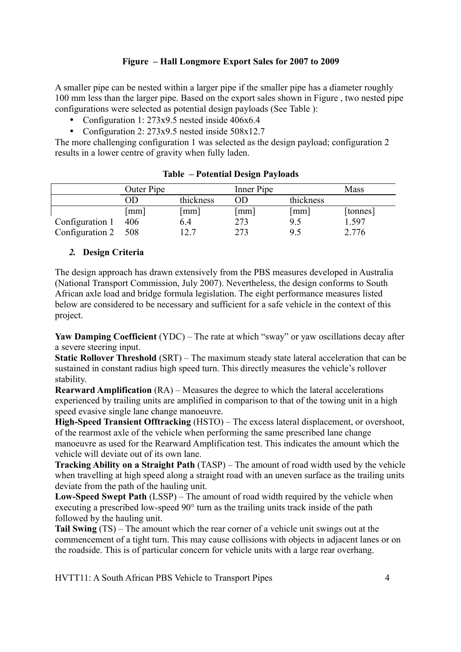### <span id="page-3-0"></span>**Figure – Hall Longmore Export Sales for 2007 to 2009**

A smaller pipe can be nested within a larger pipe if the smaller pipe has a diameter roughly 100 mm less than the larger pipe. Based on the export sales shown in [Figure ,](#page-3-0) two nested pipe configurations were selected as potential design payloads (See [Table \)](#page-3-1):

- Configuration 1: 273x9.5 nested inside 406x6.4
- Configuration 2: 273x9.5 nested inside 508x12.7

The more challenging configuration 1 was selected as the design payload; configuration 2 results in a lower centre of gravity when fully laden.

|                 | Outer Pipe           |           | Inner Pipe           |                      | Mass     |
|-----------------|----------------------|-----------|----------------------|----------------------|----------|
|                 | 11                   | thickness | OD                   | thickness            |          |
|                 | $\lceil$ mm $\rceil$ | mm        | $\lceil$ mm $\rceil$ | $\lceil$ mm $\rceil$ | [tonnes] |
| Configuration 1 | 406                  | 6.4       | 273                  | 9.5                  | 1.597    |
| Configuration 2 | 508                  | 12.7      | 273                  | 9.5                  | 2.776    |

<span id="page-3-1"></span>

| <b>Table - Potential Design Payloads</b> |
|------------------------------------------|
|------------------------------------------|

### *2.* **Design Criteria**

The design approach has drawn extensively from the PBS measures developed in Australia (National Transport Commission, July 2007). Nevertheless, the design conforms to South African axle load and bridge formula legislation. The eight performance measures listed below are considered to be necessary and sufficient for a safe vehicle in the context of this project.

**Yaw Damping Coefficient** (YDC) – The rate at which "sway" or yaw oscillations decay after a severe steering input.

**Static Rollover Threshold** (SRT) – The maximum steady state lateral acceleration that can be sustained in constant radius high speed turn. This directly measures the vehicle's rollover stability.

**Rearward Amplification** (RA) – Measures the degree to which the lateral accelerations experienced by trailing units are amplified in comparison to that of the towing unit in a high speed evasive single lane change manoeuvre.

**High-Speed Transient Offtracking** (HSTO) – The excess lateral displacement, or overshoot, of the rearmost axle of the vehicle when performing the same prescribed lane change manoeuvre as used for the Rearward Amplification test. This indicates the amount which the vehicle will deviate out of its own lane.

**Tracking Ability on a Straight Path** (TASP) – The amount of road width used by the vehicle when travelling at high speed along a straight road with an uneven surface as the trailing units deviate from the path of the hauling unit.

**Low-Speed Swept Path** (LSSP) – The amount of road width required by the vehicle when executing a prescribed low-speed 90° turn as the trailing units track inside of the path followed by the hauling unit.

**Tail Swing** (TS) – The amount which the rear corner of a vehicle unit swings out at the commencement of a tight turn. This may cause collisions with objects in adjacent lanes or on the roadside. This is of particular concern for vehicle units with a large rear overhang.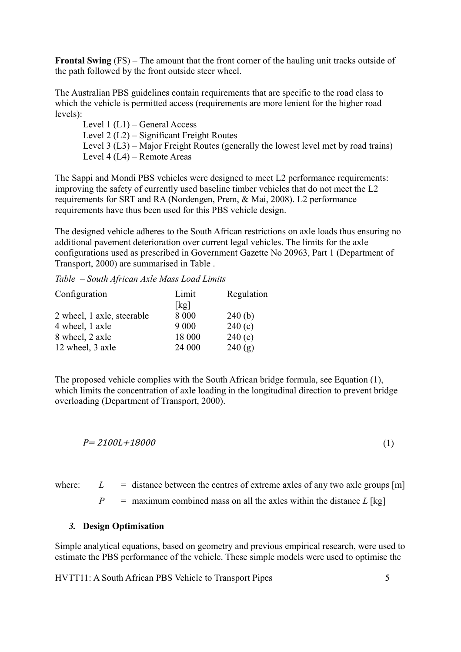**Frontal Swing** (FS) – The amount that the front corner of the hauling unit tracks outside of the path followed by the front outside steer wheel.

The Australian PBS guidelines contain requirements that are specific to the road class to which the vehicle is permitted access (requirements are more lenient for the higher road levels):

Level 1 (L1) – General Access Level 2 (L2) – Significant Freight Routes Level 3 (L3) – Major Freight Routes (generally the lowest level met by road trains) Level 4 (L4) – Remote Areas

The Sappi and Mondi PBS vehicles were designed to meet L2 performance requirements: improving the safety of currently used baseline timber vehicles that do not meet the L2 requirements for SRT and RA (Nordengen, Prem, & Mai, 2008). L2 performance requirements have thus been used for this PBS vehicle design.

The designed vehicle adheres to the South African restrictions on axle loads thus ensuring no additional pavement deterioration over current legal vehicles. The limits for the axle configurations used as prescribed in Government Gazette No 20963, Part 1 (Department of Transport, 2000) are summarised in [Table .](#page-4-0)

<span id="page-4-0"></span>*Table – South African Axle Mass Load Limits*

| Configuration              | Limit   | Regulation |
|----------------------------|---------|------------|
|                            | [kg]    |            |
| 2 wheel, 1 axle, steerable | 8 0 0 0 | 240(b)     |
| 4 wheel, 1 axle            | 9 0 0 0 | 240(c)     |
| 8 wheel, 2 axle            | 18 000  | 240(e)     |
| 12 wheel, 3 axle           | 24 000  | 240(g)     |

The proposed vehicle complies with the South African bridge formula, see Equation (1), which limits the concentration of axle loading in the longitudinal direction to prevent bridge overloading (Department of Transport, 2000).

$$
P = 2100L + 18000
$$
 (1)

where:  $L =$  distance between the centres of extreme axles of any two axle groups  $[m]$ 

 $P =$  maximum combined mass on all the axles within the distance  $L$  [kg]

### *3.* **Design Optimisation**

Simple analytical equations, based on geometry and previous empirical research, were used to estimate the PBS performance of the vehicle. These simple models were used to optimise the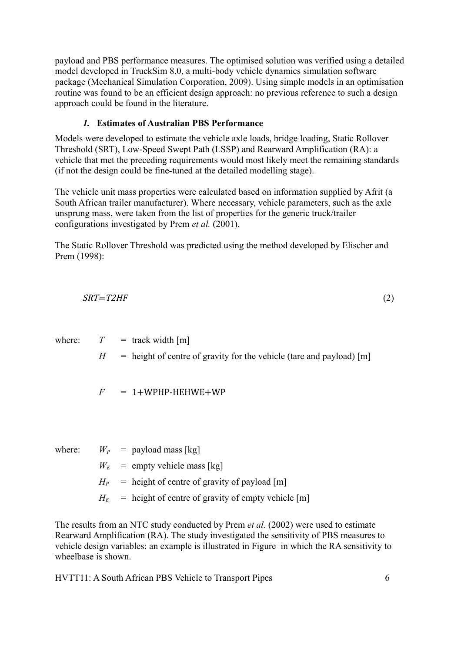payload and PBS performance measures. The optimised solution was verified using a detailed model developed in TruckSim 8.0, a multi-body vehicle dynamics simulation software package (Mechanical Simulation Corporation, 2009). Using simple models in an optimisation routine was found to be an efficient design approach: no previous reference to such a design approach could be found in the literature.

# *1.* **Estimates of Australian PBS Performance**

Models were developed to estimate the vehicle axle loads, bridge loading, Static Rollover Threshold (SRT), Low-Speed Swept Path (LSSP) and Rearward Amplification (RA): a vehicle that met the preceding requirements would most likely meet the remaining standards (if not the design could be fine-tuned at the detailed modelling stage).

The vehicle unit mass properties were calculated based on information supplied by Afrit (a South African trailer manufacturer). Where necessary, vehicle parameters, such as the axle unsprung mass, were taken from the list of properties for the generic truck/trailer configurations investigated by Prem *et al.* (2001).

The Static Rollover Threshold was predicted using the method developed by Elischer and Prem (1998):

$$
SRT = T2HF \tag{2}
$$

where:  $T = \text{track width [m]}$ 

 $H =$  height of centre of gravity for the vehicle (tare and payload) [m]

 $F = 1+WPHP-HEHWE+WP$ 

where:  $W_P$  = payload mass [kg]

 $W_E$  = empty vehicle mass [kg]

 $H_P$  = height of centre of gravity of payload [m]

 $H_E$  = height of centre of gravity of empty vehicle [m]

The results from an NTC study conducted by Prem *et al.* (2002) were used to estimate Rearward Amplification (RA). The study investigated the sensitivity of PBS measures to vehicle design variables: an example is illustrated in [Figure](#page-6-0) in which the RA sensitivity to wheelbase is shown.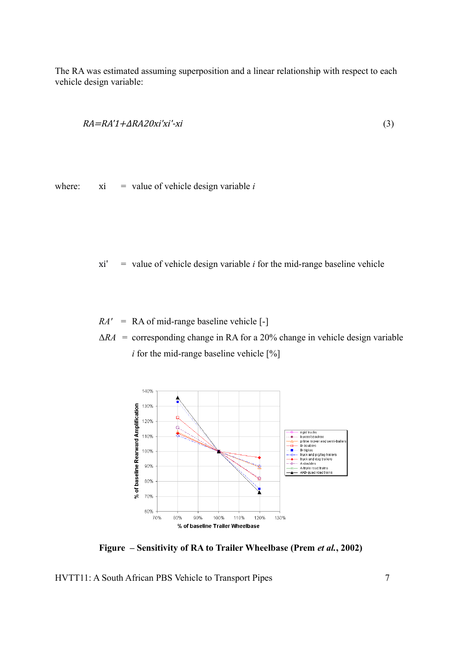The RA was estimated assuming superposition and a linear relationship with respect to each vehicle design variable:

$$
RA = RA'1 + ARA20xi'xi' - xi
$$
\n<sup>(3)</sup>

where:  $xi = value of vehicle design variable *i*$ 

 $xi'$  = value of vehicle design variable *i* for the mid-range baseline vehicle

*RA'* = RA of mid-range baseline vehicle [-]

 $\Delta RA$  = corresponding change in RA for a 20% change in vehicle design variable *i* for the mid-range baseline vehicle  $[\%]$ 



<span id="page-6-0"></span>**Figure – Sensitivity of RA to Trailer Wheelbase (Prem** *et al.***, 2002)**

HVTT11: A South African PBS Vehicle to Transport Pipes 7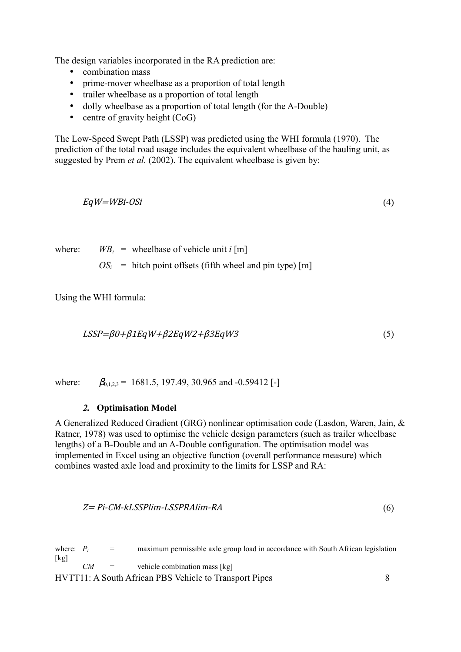The design variables incorporated in the RA prediction are:

- combination mass
- prime-mover wheelbase as a proportion of total length
- trailer wheelbase as a proportion of total length
- dolly wheelbase as a proportion of total length (for the A-Double)
- centre of gravity height  $(CoG)$

The Low-Speed Swept Path (LSSP) was predicted using the WHI formula (1970). The prediction of the total road usage includes the equivalent wheelbase of the hauling unit, as suggested by Prem *et al.* (2002). The equivalent wheelbase is given by:

$$
EqW = WBi-OSi \tag{4}
$$

where:  $W B_i$  = wheelbase of vehicle unit *i* [m]  $OS_i$  = hitch point offsets (fifth wheel and pin type) [m]

Using the WHI formula:

$$
LSSP = \beta 0 + \beta 1 EqW + \beta 2 EqW2 + \beta 3 EqW3 \tag{5}
$$

where:  $\beta_{0,123} = 1681.5, 197.49, 30.965$  and -0.59412 [-]

#### *2.* **Optimisation Model**

A Generalized Reduced Gradient (GRG) nonlinear optimisation code (Lasdon, Waren, Jain, & Ratner, 1978) was used to optimise the vehicle design parameters (such as trailer wheelbase lengths) of a B-Double and an A-Double configuration. The optimisation model was implemented in Excel using an objective function (overall performance measure) which combines wasted axle load and proximity to the limits for LSSP and RA:

$$
Z = Pi-CM-kLSSPlim-LSSPRAlim-RA
$$
\n
$$
(6)
$$

where:  $P_i$  = maximum permissible axle group load in accordance with South African legislation  $[kg]$ *CM* = vehicle combination mass [kg]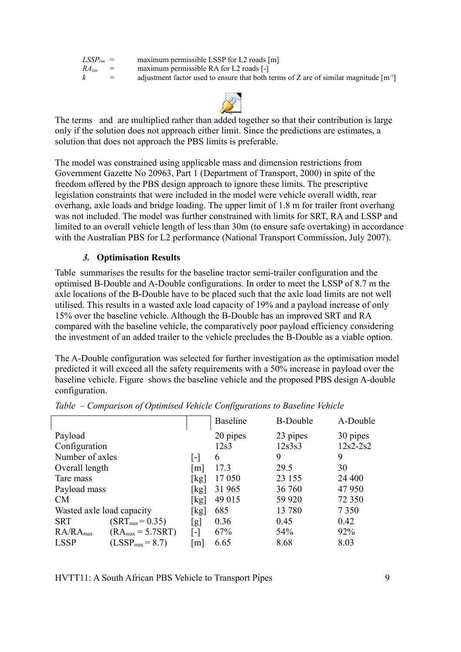| $LSSP_{lim}$ = |     | maximum permissible LSSP for L2 roads [m]                                                             |
|----------------|-----|-------------------------------------------------------------------------------------------------------|
| $RA_{lim}$     | $=$ | maximum permissible RA for L2 roads [-]                                                               |
| $\kappa$       | $=$ | adjustment factor used to ensure that both terms of Z are of similar magnitude $\lceil m^{-1} \rceil$ |



The terms and are multiplied rather than added together so that their contribution is large only if the solution does not approach either limit. Since the predictions are estimates, a solution that does not approach the PBS limits is preferable.

The model was constrained using applicable mass and dimension restrictions from Government Gazette No 20963, Part 1 (Department of Transport, 2000) in spite of the freedom offered by the PBS design approach to ignore these limits. The prescriptive legislation constraints that were included in the model were vehicle overall width, rear overhang, axle loads and bridge loading. The upper limit of 1.8 m for trailer front overhang was not included. The model was further constrained with limits for SRT, RA and LSSP and limited to an overall vehicle length of less than 30m (to ensure safe overtaking) in accordance with the Australian PBS for L2 performance (National Transport Commission, July 2007).

### *3.* **Optimisation Results**

[Table](#page-8-0) summarises the results for the baseline tractor semi-trailer configuration and the optimised B-Double and A-Double configurations. In order to meet the LSSP of 8.7 m the axle locations of the B-Double have to be placed such that the axle load limits are not well utilised. This results in a wasted axle load capacity of 19% and a payload increase of only 15% over the baseline vehicle. Although the B-Double has an improved SRT and RA compared with the baseline vehicle, the comparatively poor payload efficiency considering the investment of an added trailer to the vehicle precludes the B-Double as a viable option.

The A-Double configuration was selected for further investigation as the optimisation model predicted it will exceed all the safety requirements with a 50% increase in payload over the baseline vehicle. [Figure](#page-9-0) shows the baseline vehicle and the proposed PBS design A-double configuration.

|                                               |                            | <b>Baseline</b> | <b>B-Double</b> | A-Double     |
|-----------------------------------------------|----------------------------|-----------------|-----------------|--------------|
| Payload                                       |                            | 20 pipes        | 23 pipes        | 30 pipes     |
| Configuration                                 |                            | 12s3            | 12s3s3          | $12s2 - 2s2$ |
| Number of axles                               |                            | 6               | 9               | 9            |
| Overall length                                |                            | 17.3            | 29.5            | 30           |
| Tare mass                                     | kg                         | 17 050          | 23 155          | 24 400       |
| Payload mass                                  | [ $kg$ ]                   | 31 965          | 36 760          | 47 950       |
| CM                                            | $\left[\mathrm{kg}\right]$ | 49 015          | 59 9 20         | 72 350       |
| Wasted axle load capacity                     | [kg]                       | 685             | 13 780          | 7 3 5 0      |
| <b>SRT</b><br>$(SRT_{min} = 0.35)$            | lg                         | 0.36            | 0.45            | 0.42         |
| RA/RA <sub>max</sub><br>$(RA_{max} = 5.7SRT)$ | [-]                        | 67%             | 54%             | 92%          |
| <b>LSSP</b><br>$(LSSP_{max} = 8.7)$           | m                          | 6.65            | 8.68            | 8.03         |

<span id="page-8-0"></span>*Table – Comparison of Optimised Vehicle Configurations to Baseline Vehicle*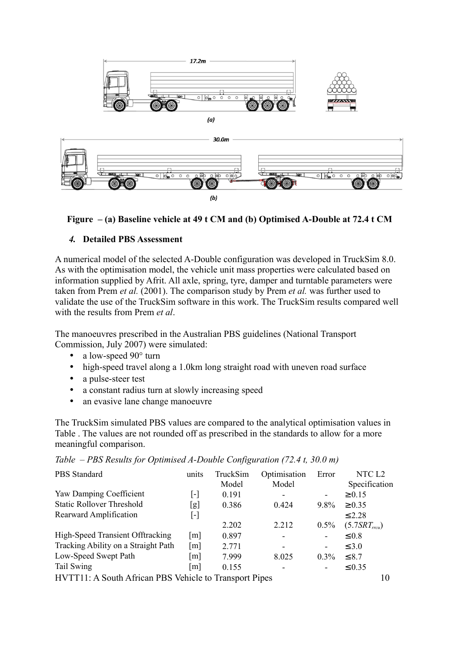

<span id="page-9-0"></span>

### *4.* **Detailed PBS Assessment**

A numerical model of the selected A-Double configuration was developed in TruckSim 8.0. As with the optimisation model, the vehicle unit mass properties were calculated based on information supplied by Afrit. All axle, spring, tyre, damper and turntable parameters were taken from Prem *et al.* (2001). The comparison study by Prem *et al.* was further used to validate the use of the TruckSim software in this work. The TruckSim results compared well with the results from Prem *et al*.

The manoeuvres prescribed in the Australian PBS guidelines (National Transport Commission, July 2007) were simulated:

- a low-speed 90° turn
- high-speed travel along a 1.0km long straight road with uneven road surface
- a pulse-steer test
- a constant radius turn at slowly increasing speed
- an evasive lane change manoeuvre

The TruckSim simulated PBS values are compared to the analytical optimisation values in [Table .](#page-9-1) The values are not rounded off as prescribed in the standards to allow for a more meaningful comparison.

<span id="page-9-1"></span>

| Table – PBS Results for Optimised A-Double Configuration (72.4 t, 30.0 m) |       |                             |  |
|---------------------------------------------------------------------------|-------|-----------------------------|--|
| PBS Standard                                                              | units | TruckSim Optimisation Error |  |

| <b>PBS</b> Standard                                          | units             | TruckSim | Optimisation             | Error   | NTC L2            |  |
|--------------------------------------------------------------|-------------------|----------|--------------------------|---------|-------------------|--|
|                                                              |                   | Model    | Model                    |         | Specification     |  |
| Yaw Damping Coefficient                                      | [-]               | 0.191    | -                        | ۰       | $\ge 0.15$        |  |
| <b>Static Rollover Threshold</b>                             | [g]               | 0.386    | 0.424                    | 9.8%    | $\geq 0.35$       |  |
| Rearward Amplification                                       | $[\cdot]$         |          |                          |         | $\leq$ 2.28       |  |
|                                                              |                   | 2.202    | 2.212                    | $0.5\%$ | $(5.7SRT_{rrcu})$ |  |
| High-Speed Transient Offtracking                             | m                 | 0.897    | $\overline{\phantom{0}}$ |         | $\leq 0.8$        |  |
| Tracking Ability on a Straight Path                          | $\lceil m \rceil$ | 2.771    | -                        | -       | $\leq 3.0$        |  |
| Low-Speed Swept Path                                         | m                 | 7.999    | 8.025                    | $0.3\%$ | $\leq 8.7$        |  |
| Tail Swing                                                   | m                 | 0.155    |                          | ۰       | $\leq 0.35$       |  |
| HVTT11: A South African PBS Vehicle to Transport Pipes<br>10 |                   |          |                          |         |                   |  |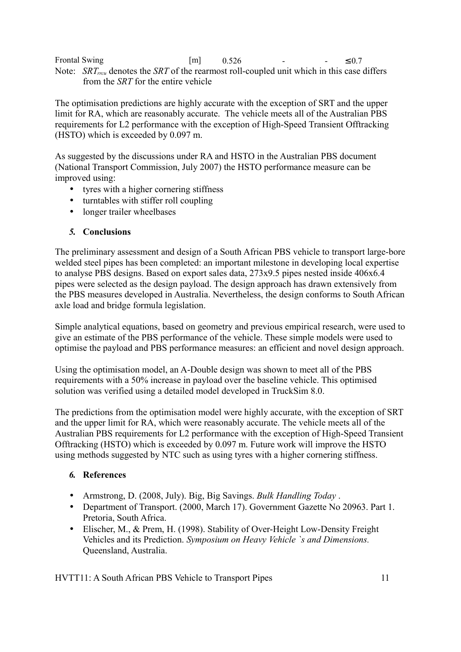Frontal Swing  $\text{[m]}$  0.526 -  $\leq 0.7$ Note: *SRTrrcu* denotes the *SRT* of the rearmost roll-coupled unit which in this case differs from the *SRT* for the entire vehicle

The optimisation predictions are highly accurate with the exception of SRT and the upper limit for RA, which are reasonably accurate. The vehicle meets all of the Australian PBS requirements for L2 performance with the exception of High-Speed Transient Offtracking (HSTO) which is exceeded by 0.097 m.

As suggested by the discussions under RA and HSTO in the Australian PBS document (National Transport Commission, July 2007) the HSTO performance measure can be improved using:

- tyres with a higher cornering stiffness
- turntables with stiffer roll coupling
- longer trailer wheelbases

# *5.* **Conclusions**

The preliminary assessment and design of a South African PBS vehicle to transport large-bore welded steel pipes has been completed: an important milestone in developing local expertise to analyse PBS designs. Based on export sales data, 273x9.5 pipes nested inside 406x6.4 pipes were selected as the design payload. The design approach has drawn extensively from the PBS measures developed in Australia. Nevertheless, the design conforms to South African axle load and bridge formula legislation.

Simple analytical equations, based on geometry and previous empirical research, were used to give an estimate of the PBS performance of the vehicle. These simple models were used to optimise the payload and PBS performance measures: an efficient and novel design approach.

Using the optimisation model, an A-Double design was shown to meet all of the PBS requirements with a 50% increase in payload over the baseline vehicle. This optimised solution was verified using a detailed model developed in TruckSim 8.0.

The predictions from the optimisation model were highly accurate, with the exception of SRT and the upper limit for RA, which were reasonably accurate. The vehicle meets all of the Australian PBS requirements for L2 performance with the exception of High-Speed Transient Offtracking (HSTO) which is exceeded by 0.097 m. Future work will improve the HSTO using methods suggested by NTC such as using tyres with a higher cornering stiffness.

# *6.* **References**

- Armstrong, D. (2008, July). Big, Big Savings. *Bulk Handling Today* .
- Department of Transport. (2000, March 17). Government Gazette No 20963. Part 1. Pretoria, South Africa.
- Elischer, M., & Prem, H. (1998). Stability of Over-Height Low-Density Freight Vehicles and its Prediction. *Symposium on Heavy Vehicle `s and Dimensions.* Queensland, Australia.